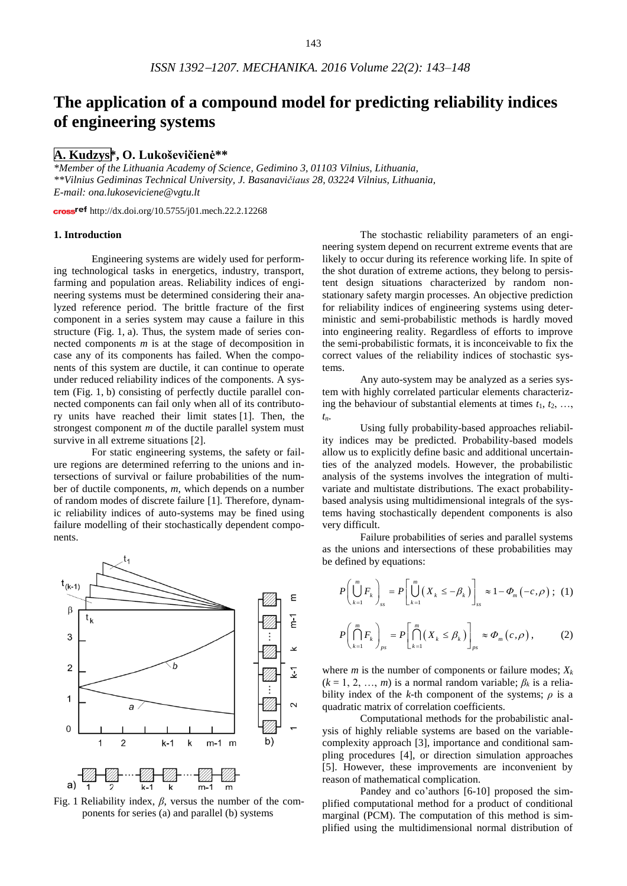# **The application of a compound model for predicting reliability indices of engineering systems**

# **A. Kudzys\*, O. Lukoševičienė\*\***

*\*Member of the Lithuania Academy of Science, Gedimino 3, 01103 Vilnius, Lithuania, \*\*Vilnius Gediminas Technical University, J. Basanavičiaus 28, 03224 Vilnius, Lithuania, E-mail: ona.lukoseviciene@vgtu.lt*

cross<sup>ref</sup> http://dx.doi.org/10.5755/j01.mech.22.2.12268

# **1. Introduction**

Engineering systems are widely used for performing technological tasks in energetics, industry, transport, farming and population areas. Reliability indices of engineering systems must be determined considering their analyzed reference period. The brittle fracture of the first component in a series system may cause a failure in this structure (Fig. 1, a). Thus, the system made of series connected components *m* is at the stage of decomposition in case any of its components has failed. When the components of this system are ductile, it can continue to operate under reduced reliability indices of the components. A system (Fig. 1, b) consisting of perfectly ductile parallel connected components can fail only when all of its contributory units have reached their limit states [1]. Then, the strongest component *m* of the ductile parallel system must survive in all extreme situations [2].

For static engineering systems, the safety or failure regions are determined referring to the unions and intersections of survival or failure probabilities of the number of ductile components, *m*, which depends on a number of random modes of discrete failure [1]. Therefore, dynamic reliability indices of auto-systems may be fined using failure modelling of their stochastically dependent components.



Fig. 1 Reliability index, *β*, versus the number of the components for series (a) and parallel (b) systems

The stochastic reliability parameters of an engineering system depend on recurrent extreme events that are likely to occur during its reference working life. In spite of the shot duration of extreme actions, they belong to persistent design situations characterized by random nonstationary safety margin processes. An objective prediction for reliability indices of engineering systems using deterministic and semi-probabilistic methods is hardly moved into engineering reality. Regardless of efforts to improve the semi-probabilistic formats, it is inconceivable to fix the correct values of the reliability indices of stochastic systems.

Any auto-system may be analyzed as a series system with highly correlated particular elements characterizing the behaviour of substantial elements at times  $t_1, t_2, \ldots$ , *tn*.

Using fully probability-based approaches reliability indices may be predicted. Probability-based models allow us to explicitly define basic and additional uncertainties of the analyzed models. However, the probabilistic analysis of the systems involves the integration of multivariate and multistate distributions. The exact probabilitybased analysis using multidimensional integrals of the systems having stochastically dependent components is also very difficult.

Failure probabilities of series and parallel systems as the unions and intersections of these probabilities may be defined by equations:

$$
P\left(\bigcup_{k=1}^{m} F_{k}\right)_{ss} = P\left[\bigcup_{k=1}^{m} \left(X_{k} \leq -\beta_{k}\right)\right]_{ss} \approx 1 - \Phi_{m}\left(-c, \rho\right); (1)
$$

$$
P\left(\bigcap_{k=1}^{m} F_{k}\right)_{ps} = P\left[\bigcap_{k=1}^{m} \left(X_{k} \leq \beta_{k}\right)\right]_{ps} \approx \Phi_{m}\left(c, \rho\right),\tag{2}
$$

where *m* is the number of components or failure modes;  $X_k$  $(k = 1, 2, ..., m)$  is a normal random variable;  $\beta_k$  is a reliability index of the *k*-th component of the systems;  $\rho$  is a quadratic matrix of correlation coefficients.

Computational methods for the probabilistic analysis of highly reliable systems are based on the variablecomplexity approach [3], importance and conditional sampling procedures [4], or direction simulation approaches [5]. However, these improvements are inconvenient by reason of mathematical complication.

Pandey and co'authors [6-10] proposed the simplified computational method for a product of conditional marginal (PCM). The computation of this method is simplified using the multidimensional normal distribution of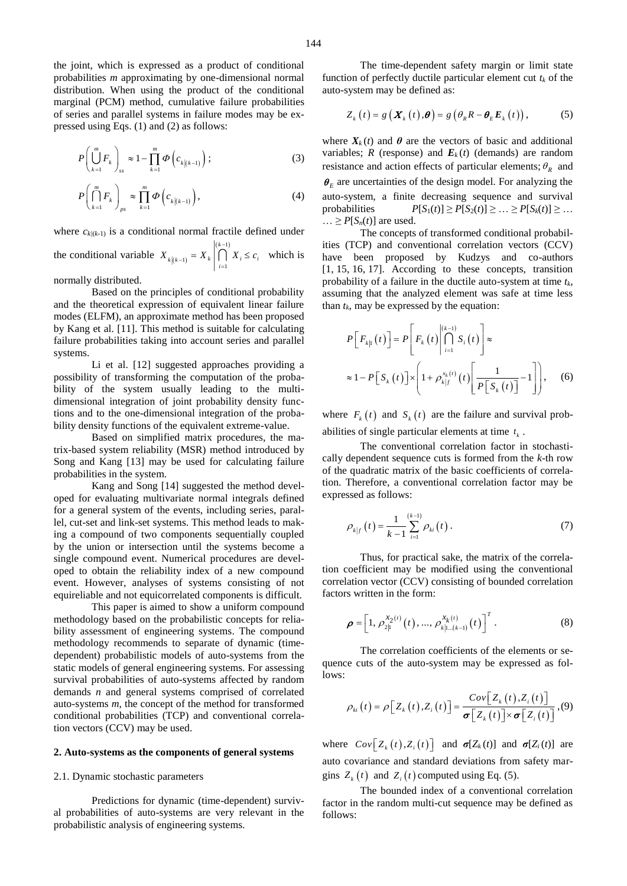the joint, which is expressed as a product of conditional probabilities *m* approximating by one-dimensional normal distribution. When using the product of the conditional marginal (PCM) method, cumulative failure probabilities of series and parallel systems in failure modes may be expressed using Eqs. (1) and (2) as follows:

$$
P\left(\bigcup_{k=1}^{m} F_k\right)_{ss} \approx 1 - \prod_{k=1}^{m} \Phi\left(c_{k|k-1)}\right); \tag{3}
$$

$$
P\left(\bigcap_{k=1}^{m} F_{k}\right)_{ps} \approx \prod_{k=1}^{m} \Phi\left(c_{k|k-1)}\right),\tag{4}
$$

where  $c_{k/(k-1)}$  is a conditional normal fractile defined under the conditional variable  $X_{k|(k-1)}$  $(k-1)$ 1 1 *k*  $k(k-1)$   $\longrightarrow k$   $\mid \prod_{i=1}^{k}$   $\longrightarrow i$   $\longrightarrow i$  $X_{\text{max}} = X_{\text{max}} \bigcap_{i=1}^{\lfloor k-1 \rfloor} X_i \leq c$  $\begin{array}{ccc} -1 & & & \end{array}$   $i=$  $= X_{k}$   $\bigcap X_{i} \leq c_{i}$  which is

normally distributed.

Based on the principles of conditional probability and the theoretical expression of equivalent linear failure modes (ELFM), an approximate method has been proposed by Kang et al. [11]. This method is suitable for calculating failure probabilities taking into account series and parallel systems.

Li et al. [12] suggested approaches providing a possibility of transforming the computation of the probability of the system usually leading to the multidimensional integration of joint probability density functions and to the one-dimensional integration of the probability density functions of the equivalent extreme-value.

Based on simplified matrix procedures, the matrix-based system reliability (MSR) method introduced by Song and Kang [13] may be used for calculating failure probabilities in the system.

Kang and Song [14] suggested the method developed for evaluating multivariate normal integrals defined for a general system of the events, including series, parallel, cut-set and link-set systems. This method leads to making a compound of two components sequentially coupled by the union or intersection until the systems become a single compound event. Numerical procedures are developed to obtain the reliability index of a new compound event. However, analyses of systems consisting of not equireliable and not equicorrelated components is difficult.

This paper is aimed to show a uniform compound methodology based on the probabilistic concepts for reliability assessment of engineering systems. The compound methodology recommends to separate of dynamic (timedependent) probabilistic models of auto-systems from the static models of general engineering systems. For assessing survival probabilities of auto-systems affected by random demands *n* and general systems comprised of correlated auto-systems *m*, the concept of the method for transformed conditional probabilities (TCP) and conventional correlation vectors (CCV) may be used.

## **2. Auto-systems as the components of general systems**

# 2.1. Dynamic stochastic parameters

Predictions for dynamic (time-dependent) survival probabilities of auto-systems are very relevant in the probabilistic analysis of engineering systems.

The time-dependent safety margin or limit state function of perfectly ductile particular element cut  $t_k$  of the auto-system may be defined as:

$$
Z_{k}(t) = g\left(\boldsymbol{X}_{k}(t), \boldsymbol{\theta}\right) = g\left(\theta_{k} R - \boldsymbol{\theta}_{E} \boldsymbol{E}_{k}(t)\right), \tag{5}
$$

where  $X_k(t)$  and  $\theta$  are the vectors of basic and additional variables; *R* (response) and  $E_k(t)$  (demands) are random resistance and action effects of particular elements;  $\theta_R$  and  $\theta_E$  are uncertainties of the design model. For analyzing the auto-system, a finite decreasing sequence and survival probabilities  $P[S_1(t)] \ge P[S_2(t)] \ge \ldots \ge P[S_k(t)] \ge \ldots$  $\ldots \geq P[S_n(t)]$  are used.

The concepts of transformed conditional probabilities (TCP) and conventional correlation vectors (CCV) have been proposed by Kudzys and co-authors [1, 15, 16, 17]. According to these concepts, transition probability of a failure in the ductile auto-system at time *tk*, assuming that the analyzed element was safe at time less than  $t_k$ , may be expressed by the equation:

$$
P\left[F_{k|1}(t)\right] = P\left[F_{k}(t)\middle|\bigcap_{i=1}^{(k-1)} S_{i}(t)\right] \approx
$$
  

$$
\approx 1 - P\left[S_{k}(t)\right] \times \left(1 + \rho_{k|f}^{x_{k}(t)}(t)\left[\frac{1}{P\left[S_{k}(t)\right]} - 1\right]\right), \quad (6)
$$

where  $F_k(t)$  and  $S_k(t)$  are the failure and survival probabilities of single particular elements at time  $t_k$ .

The conventional correlation factor in stochastically dependent sequence cuts is formed from the *k*-th row of the quadratic matrix of the basic coefficients of correlation. Therefore, a conventional correlation factor may be expressed as follows:

$$
\rho_{k|f}(t) = \frac{1}{k-1} \sum_{i=1}^{(k-1)} \rho_{ki}(t) .
$$
 (7)

Thus, for practical sake, the matrix of the correlation coefficient may be modified using the conventional correlation vector (CCV) consisting of bounded correlation factors written in the form:

$$
\boldsymbol{\rho} = \left[1, \ \rho_{2|1}^{x_2(t)}(t), \dots, \ \rho_{k|1\dots(k-1)}^{x_k(t)}(t)\right]^T. \tag{8}
$$

The correlation coefficients of the elements or sequence cuts of the auto-system may be expressed as follows:

$$
\rho_{ki}(t) = \rho \big[ Z_k(t), Z_i(t) \big] = \frac{Cov \big[ Z_k(t), Z_i(t) \big]}{\sigma \big[ Z_k(t) \big] \times \sigma \big[ Z_i(t) \big]}, (9)
$$

where  $Cov[Z_k(t), Z_i(t)]$  and  $\sigma[Z_k(t)]$  and  $\sigma[Z_i(t)]$  are auto covariance and standard deviations from safety margins  $Z_k(t)$  and  $Z_i(t)$  computed using Eq. (5).

The bounded index of a conventional correlation factor in the random multi-cut sequence may be defined as follows: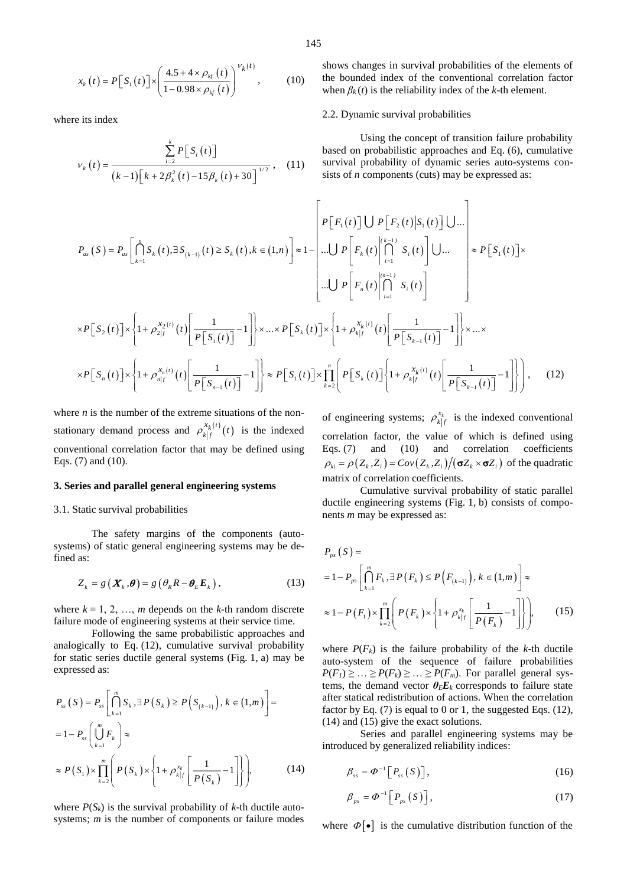$$
x_{k}(t) = P[S_{1}(t)] \times \left(\frac{4.5 + 4 \times \rho_{kf}(t)}{1 - 0.98 \times \rho_{kf}(t)}\right)^{V_{k}(t)},
$$
 (10)

where its index

$$
v_{k}(t) = \frac{\sum_{i=2}^{k} P[S_{i}(t)]}{(k-1)\left[k + 2\beta_{k}^{2}(t) - 15\beta_{k}(t) + 30\right]^{1/2}},
$$
 (11)

shows changes in survival probabilities of the elements of the bounded index of the conventional correlation factor when  $\beta_k(t)$  is the reliability index of the *k*-th element.

#### 2.2. Dynamic survival probabilities

Using the concept of transition failure probability based on probabilistic approaches and Eq. (6), cumulative survival probability of dynamic series auto-systems consists of *n* components (cuts) may be expressed as:

$$
P_{as}(S) = P_{as}\left[\bigcap_{k=1}^{n} S_{k}(t), \exists S_{(k-1)}(t) \ge S_{k}(t), k \in (1, n)\right] \approx 1 - \left[\bigcup_{i=1}^{n} P\left[F_{i}(t)\right] \bigcup P\left[F_{2}(t)|S_{1}(t)\right] \bigcup \dots\right] \approx P\left[S_{1}(t)\right] \times P\left[S_{1}(t)\right] \times \left[\bigcup_{i=1}^{n} S_{i}(t)\right] \times P\left[S_{2}(t)\right] \times \left[1 + \rho_{2|f}^{x_{2}(t)}(t)\left[\frac{1}{P\left[S_{1}(t)\right]} - 1\right]\right] \times \dots \times P\left[S_{k}(t)\right] \times \left[1 + \rho_{k|f}^{x_{k}(t)}(t)\left[\frac{1}{P\left[S_{k-1}(t)\right]} - 1\right]\right] \times \dots \times P\left[S_{k}(t)\right] \times \left[1 + \rho_{k|f}^{x_{k}(t)}(t)\left[\frac{1}{P\left[S_{k-1}(t)\right]} - 1\right]\right] \times \dots \times P\left[S_{n}(t)\right] \times \left[1 + \rho_{k|f}^{x_{k}(t)}(t)\left[\frac{1}{P\left[S_{k-1}(t)\right]} - 1\right]\right] \times \dots \times P\left[S_{n}(t)\right] \times \left[1 + \rho_{k|f}^{x_{k}(t)}(t)\left[\frac{1}{P\left[S_{k-1}(t)\right]} - 1\right]\right], \quad (12)
$$

where  $n$  is the number of the extreme situations of the nonstationary demand process and  $\rho_{k|f}^{x_k(t)}(t)$  $\rho_{\iota}\left(x\atop{k^{(t)}}\right)(t)$  is the indexed conventional correlation factor that may be defined using Eqs. (7) and (10).

## **3. Series and parallel general engineering systems**

#### 3.1. Static survival probabilities

The safety margins of the components (autosystems) of static general engineering systems may be defined as:

$$
Z_k = g\left(\boldsymbol{X}_k, \boldsymbol{\theta}\right) = g\left(\theta_k R - \boldsymbol{\theta}_E \boldsymbol{E}_k\right),\tag{13}
$$

where  $k = 1, 2, ..., m$  depends on the *k*-th random discrete failure mode of engineering systems at their service time.

Following the same probabilistic approaches and analogically to Eq. (12), cumulative survival probability for static series ductile general systems (Fig. 1, a) may be expressed as:

$$
P_{ss}(S) = P_{ss} \left[ \bigcap_{k=1}^{m} S_k, \exists P(S_k) \ge P(S_{(k-1)}), k \in (1, m) \right] =
$$
  

$$
= 1 - P_{ss} \left( \bigcup_{k=1}^{m} F_k \right) \approx
$$
  

$$
\approx P(S_1) \times \prod_{k=2}^{m} \left( P(S_k) \times \left\{ 1 + \rho_{kj}^{x_k} \left[ \frac{1}{P(S_k)} - 1 \right] \right\} \right),
$$
 (14)

where  $P(S_k)$  is the survival probability of  $k$ -th ductile autosystems; *m* is the number of components or failure modes

of engineering systems;  $\rho_{k|f}^{x_k}$  is the indexed conventional correlation factor, the value of which is defined using Eqs. (7) and (10) and correlation coefficients  $\rho_{ki} = \rho(Z_k, Z_i) = Cov(Z_k, Z_i) / (\sigma Z_k \times \sigma Z_i)$  of the quadratic matrix of correlation coefficients.

Cumulative survival probability of static parallel ductile engineering systems (Fig. 1, b) consists of components *m* may be expressed as:

$$
P_{ps}(S) =
$$
  
= 1 - P<sub>ps</sub>  $\left[ \bigcap_{k=1}^{m} F_k, \exists P(F_k) \le P(F_{(k-1)}), k \in (1, m) \right] \approx$   

$$
\approx 1 - P(F_1) \times \prod_{k=2}^{m} \left( P(F_k) \times \left\{ 1 + \rho_{k|f}^{x_k} \left[ \frac{1}{P(F_k)} - 1 \right] \right\} \right),
$$
(15)

where  $P(F_k)$  is the failure probability of the *k*-th ductile auto-system of the sequence of failure probabilities  $P(F_1) \geq \ldots \geq P(F_k) \geq \ldots \geq P(F_m)$ . For parallel general systems, the demand vector  $\theta_E E_k$  corresponds to failure state after statical redistribution of actions. When the correlation factor by Eq.  $(7)$  is equal to 0 or 1, the suggested Eqs.  $(12)$ , (14) and (15) give the exact solutions.

Series and parallel engineering systems may be introduced by generalized reliability indices:

$$
\beta_{ss} = \Phi^{-1}\left[P_{ss}\left(S\right)\right],\tag{16}
$$

$$
\beta_{ps} = \Phi^{-1} \left[ P_{ps} \left( S \right) \right], \tag{17}
$$

where  $\Phi[\bullet]$  is the cumulative distribution function of the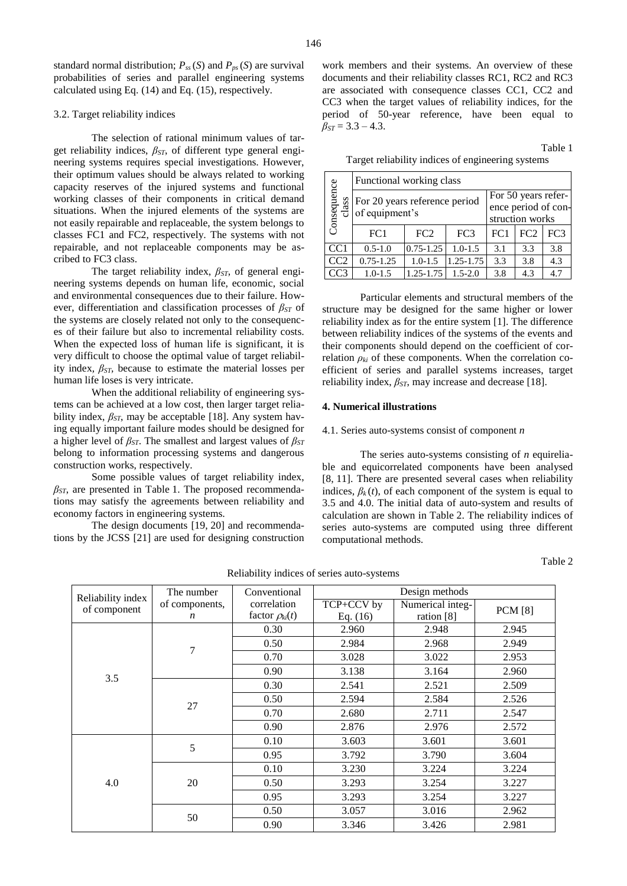standard normal distribution;  $P_{ss}(S)$  and  $P_{ps}(S)$  are survival probabilities of series and parallel engineering systems calculated using Eq. (14) and Eq. (15), respectively.

## 3.2. Target reliability indices

The selection of rational minimum values of target reliability indices, *βST*, of different type general engineering systems requires special investigations. However, their optimum values should be always related to working capacity reserves of the injured systems and functional working classes of their components in critical demand situations. When the injured elements of the systems are not easily repairable and replaceable, the system belongs to classes FC1 and FC2, respectively. The systems with not repairable, and not replaceable components may be ascribed to FC3 class.

The target reliability index, *βST*, of general engineering systems depends on human life, economic, social and environmental consequences due to their failure. However, differentiation and classification processes of *βST* of the systems are closely related not only to the consequences of their failure but also to incremental reliability costs. When the expected loss of human life is significant, it is very difficult to choose the optimal value of target reliability index*, βST,* because to estimate the material losses per human life loses is very intricate.

When the additional reliability of engineering systems can be achieved at a low cost, then larger target reliability index, *βST*, may be acceptable [18]. Any system having equally important failure modes should be designed for a higher level of *βST*. The smallest and largest values of *βST* belong to information processing systems and dangerous construction works, respectively.

Some possible values of target reliability index, *βST*, are presented in Table 1. The proposed recommendations may satisfy the agreements between reliability and economy factors in engineering systems.

The design documents [19, 20] and recommendations by the JCSS [21] are used for designing construction work members and their systems. An overview of these documents and their reliability classes RC1, RC2 and RC3 are associated with consequence classes CC1, CC2 and CC3 when the target values of reliability indices, for the period of 50-year reference, have been equal to  $\beta_{ST} = 3.3 - 4.3$ .

Table 1 Target reliability indices of engineering systems

|                      | Functional working class                        |               |                                                               |     |     |                 |  |
|----------------------|-------------------------------------------------|---------------|---------------------------------------------------------------|-----|-----|-----------------|--|
| Consequence<br>class | For 20 years reference period<br>of equipment's |               | For 50 years refer-<br>ence period of con-<br>struction works |     |     |                 |  |
|                      | FC <sub>1</sub>                                 | FC2           | FC <sub>3</sub>                                               | FC1 | FC2 | FC <sub>3</sub> |  |
| CC1                  | $0.5 - 1.0$                                     | $0.75 - 1.25$ | $1.0 - 1.5$                                                   | 3.1 | 3.3 | 3.8             |  |
| CC2                  | $0.75 - 1.25$                                   | $1.0 - 1.5$   | $1.25 - 1.75$                                                 | 3.3 | 3.8 | 4.3             |  |
|                      | $1.0 - 1.5$                                     | $1.25 - 1.75$ | $1.5 - 2.0$                                                   | 3.8 | 4.3 | 4.7             |  |

Particular elements and structural members of the structure may be designed for the same higher or lower reliability index as for the entire system [1]. The difference between reliability indices of the systems of the events and their components should depend on the coefficient of correlation  $\rho_k$  of these components. When the correlation coefficient of series and parallel systems increases, target reliability index,  $\beta_{ST}$ , may increase and decrease [18].

#### **4. Numerical illustrations**

#### 4.1. Series auto-systems consist of component *n*

The series auto-systems consisting of *n* equireliable and equicorrelated components have been analysed [8, 11]. There are presented several cases when reliability indices,  $\beta_k(t)$ , of each component of the system is equal to 3.5 and 4.0. The initial data of auto-system and results of calculation are shown in Table 2. The reliability indices of series auto-systems are computed using three different computational methods.

#### Table 2

| Reliability index | The number       | Conventional          | Design methods |                  |                |  |
|-------------------|------------------|-----------------------|----------------|------------------|----------------|--|
| of component      | of components,   | correlation           | TCP+CCV by     | Numerical integ- | <b>PCM</b> [8] |  |
|                   | $\boldsymbol{n}$ | factor $\rho_{ki}(t)$ | Eq. $(16)$     | ration [8]       |                |  |
|                   | $\overline{7}$   | 0.30                  | 2.960          | 2.948            | 2.945          |  |
|                   |                  | 0.50                  | 2.984          | 2.968            | 2.949          |  |
|                   |                  | 0.70                  | 3.028          | 3.022            | 2.953          |  |
| 3.5               |                  | 0.90                  | 3.138          | 3.164            | 2.960          |  |
|                   | 27               | 0.30                  | 2.541          | 2.521            | 2.509          |  |
|                   |                  | 0.50                  | 2.594          | 2.584            | 2.526          |  |
|                   |                  | 0.70                  | 2.680          | 2.711            | 2.547          |  |
|                   |                  | 0.90                  | 2.876          | 2.976            | 2.572          |  |
|                   | 5                | 0.10                  | 3.603          | 3.601            | 3.601          |  |
|                   |                  | 0.95                  | 3.792          | 3.790            | 3.604          |  |
|                   | 20               | 0.10                  | 3.230          | 3.224            | 3.224          |  |
| 4.0               |                  | 0.50                  | 3.293          | 3.254            | 3.227          |  |
|                   |                  | 0.95                  | 3.293          | 3.254            | 3.227          |  |
|                   | 50               | 0.50                  | 3.057          | 3.016            | 2.962          |  |
|                   |                  | 0.90                  | 3.346          | 3.426            | 2.981          |  |

Reliability indices of series auto-systems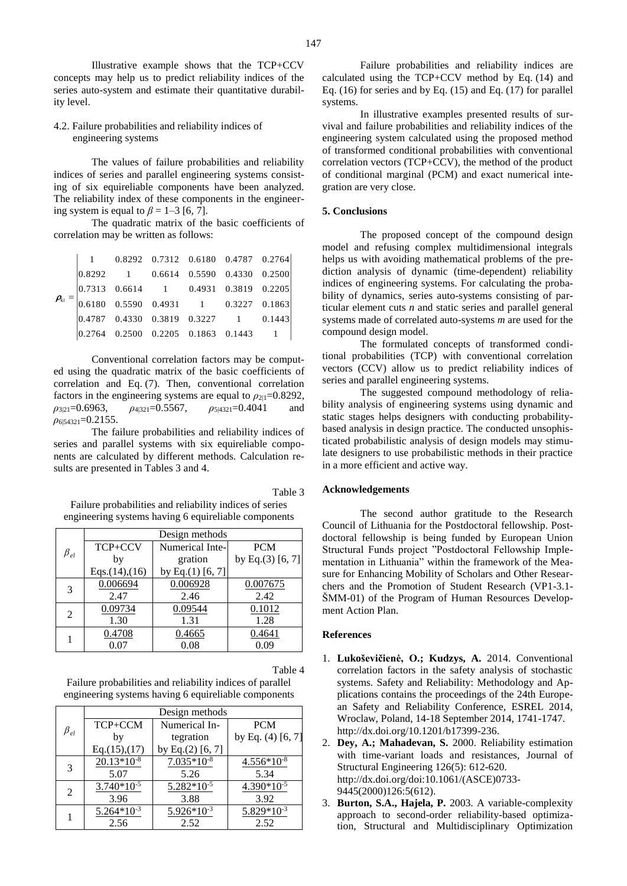Illustrative example shows that the TCP+CCV concepts may help us to predict reliability indices of the series auto-system and estimate their quantitative durability level.

## 4.2. Failure probabilities and reliability indices of engineering systems

The values of failure probabilities and reliability indices of series and parallel engineering systems consisting of six equireliable components have been analyzed. The reliability index of these components in the engineering system is equal to  $\beta = 1-3$  [6, 7].

The quadratic matrix of the basic coefficients of correlation may be written as follows:

|  |  | $1$ 0.8292 0.7312 0.6180 0.4787 0.2764                                                                                            |  |  |
|--|--|-----------------------------------------------------------------------------------------------------------------------------------|--|--|
|  |  | $\begin{vmatrix} 0.8292 & 1 & 0.6614 & 0.5590 & 0.4330 & 0.2500 \end{vmatrix}$                                                    |  |  |
|  |  | $=\begin{vmatrix} 0.7313 & 0.6614 & 1 & 0.4931 & 0.3819 & 0.2205 \\ 0.6180 & 0.5590 & 0.4931 & 1 & 0.3227 & 0.1863 \end{vmatrix}$ |  |  |
|  |  |                                                                                                                                   |  |  |
|  |  | $\begin{vmatrix} 0.4787 & 0.4330 & 0.3819 & 0.3227 & 1 & 0.1443 \end{vmatrix}$                                                    |  |  |
|  |  | $\begin{array}{cccccc} 0.2764 & 0.2500 & 0.2205 & 0.1863 & 0.1443 & 1 \end{array}$                                                |  |  |

Conventional correlation factors may be computed using the quadratic matrix of the basic coefficients of correlation and Eq. (7). Then, conventional correlation factors in the engineering systems are equal to  $\rho_{21}=0.8292$ , *ρ*3|21=0.6963, *ρ*4|321=0.5567, *ρ*5|4321=0.4041 and *ρ*6|54321=0.2155.

The failure probabilities and reliability indices of series and parallel systems with six equireliable components are calculated by different methods. Calculation results are presented in Tables 3 and 4.

Table 3 Failure probabilities and reliability indices of series engineering systems having 6 equireliable components

|                       | Design methods       |                     |                     |  |  |
|-----------------------|----------------------|---------------------|---------------------|--|--|
| $\beta_{\mathit{el}}$ | TCP+CCV              | Numerical Inte-     | <b>PCM</b>          |  |  |
|                       | by                   | gration             | by Eq. $(3)$ [6, 7] |  |  |
|                       | Eqs. $(14)$ , $(16)$ | by Eq. $(1)$ [6, 7] |                     |  |  |
| 3                     | 0.006694             | 0.006928            | 0.007675            |  |  |
|                       | 2.47                 | 2.46                | 2.42                |  |  |
| 2                     | 0.09734              | 0.09544             | 0.1012              |  |  |
|                       | 1.30                 | 1.31                | 1.28                |  |  |
|                       | 0.4708               | 0.4665              | 0.4641              |  |  |
|                       | 0.07                 | 0.08                | 0.09                |  |  |

Table 4

Failure probabilities and reliability indices of parallel engineering systems having 6 equireliable components

|              | Design methods  |                     |                       |  |  |
|--------------|-----------------|---------------------|-----------------------|--|--|
| $\beta_{el}$ | TCP+CCM         | Numerical In-       | <b>PCM</b>            |  |  |
|              | by              | tegration           | by Eq. $(4)$ $[6, 7]$ |  |  |
|              | Eq.(15),(17)    | by Eq. $(2)$ [6, 7] |                       |  |  |
| 3            | $20.13*10-8$    | $7.035*10^{-8}$     | $4.556*10-8$          |  |  |
|              | 5.07            | 5.26                | 5.34                  |  |  |
| 2            | $3.740*10-5$    | 5.282*10-5          | 4.390*10-5            |  |  |
|              | 3.96            | 3.88                | 3.92                  |  |  |
|              | $5.264*10^{-3}$ | $5.926*10^{-3}$     | $5.829*10^{-3}$       |  |  |
|              | 2.56            | 2.52                | 2.52                  |  |  |

Failure probabilities and reliability indices are calculated using the TCP+CCV method by Eq. (14) and Eq.  $(16)$  for series and by Eq.  $(15)$  and Eq.  $(17)$  for parallel systems.

In illustrative examples presented results of survival and failure probabilities and reliability indices of the engineering system calculated using the proposed method of transformed conditional probabilities with conventional correlation vectors (TCP+CCV), the method of the product of conditional marginal (PCM) and exact numerical integration are very close.

### **5. Conclusions**

The proposed concept of the compound design model and refusing complex multidimensional integrals helps us with avoiding mathematical problems of the prediction analysis of dynamic (time-dependent) reliability indices of engineering systems. For calculating the probability of dynamics, series auto-systems consisting of particular element cuts *n* and static series and parallel general systems made of correlated auto-systems *m* are used for the compound design model.

The formulated concepts of transformed conditional probabilities (TCP) with conventional correlation vectors (CCV) allow us to predict reliability indices of series and parallel engineering systems.

The suggested compound methodology of reliability analysis of engineering systems using dynamic and static stages helps designers with conducting probabilitybased analysis in design practice. The conducted unsophisticated probabilistic analysis of design models may stimulate designers to use probabilistic methods in their practice in a more efficient and active way.

#### **Acknowledgements**

The second author gratitude to the Research Council of Lithuania for the Postdoctoral fellowship. Postdoctoral fellowship is being funded by European Union Structural Funds project "Postdoctoral Fellowship Implementation in Lithuania" within the framework of the Measure for Enhancing Mobility of Scholars and Other Researchers and the Promotion of Student Research (VP1-3.1- ŠMM-01) of the Program of Human Resources Development Action Plan.

#### **References**

- 1. **Lukoševičienė, O.; Kudzys, A.** 2014. Conventional correlation factors in the safety analysis of stochastic systems. Safety and Reliability: Methodology and Applications contains the proceedings of the 24th European Safety and Reliability Conference, ESREL 2014, Wroclaw, Poland, 14-18 September 2014, 1741-1747. [http://dx.doi.org/10.1201/b17399-236.](http://dx.doi.org/10.1201/b17399-236)
- 2. **Dey, A.; Mahadevan, S.** 2000. Reliability estimation with time-variant loads and resistances, Journal of Structural Engineering 126(5): 612-620. http://dx.doi.org[/doi:10.1061/\(ASCE\)0733-](http://dx.doi.org/10.1061/(ASCE)0733-9445(2000)126:5(612)) [9445\(2000\)126:5\(612\)](http://dx.doi.org/10.1061/(ASCE)0733-9445(2000)126:5(612)).
- 3. **Burton, S.A., Hajela, P.** 2003. A variable-complexity approach to second-order reliability-based optimization, Structural and Multidisciplinary Optimization